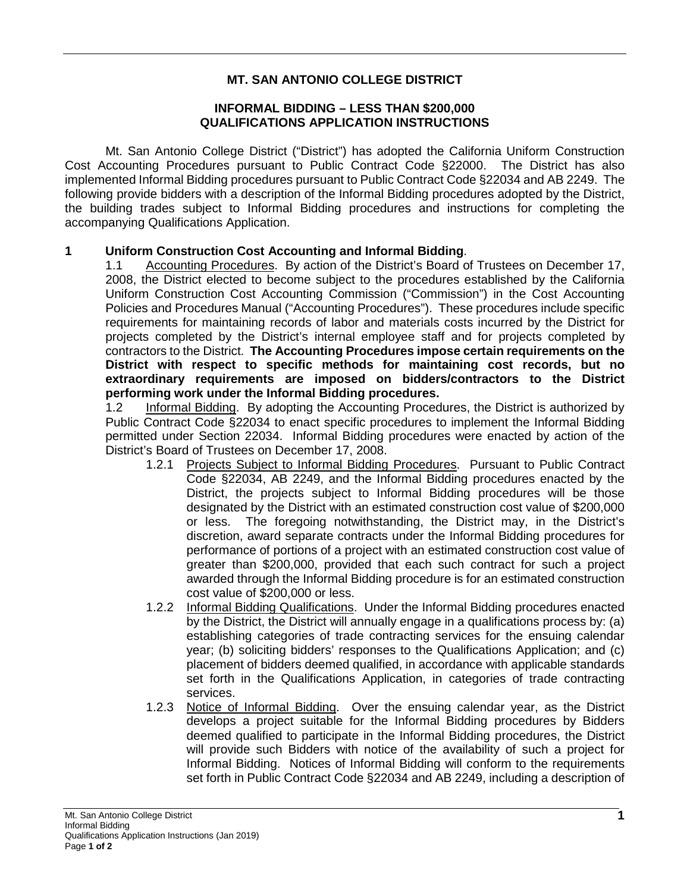# **MT. SAN ANTONIO COLLEGE DISTRICT**

### **INFORMAL BIDDING – LESS THAN \$200,000 QUALIFICATIONS APPLICATION INSTRUCTIONS**

Mt. San Antonio College District ("District") has adopted the California Uniform Construction Cost Accounting Procedures pursuant to Public Contract Code §22000. The District has also implemented Informal Bidding procedures pursuant to Public Contract Code §22034 and AB 2249. The following provide bidders with a description of the Informal Bidding procedures adopted by the District, the building trades subject to Informal Bidding procedures and instructions for completing the accompanying Qualifications Application.

#### **1 Uniform Construction Cost Accounting and Informal Bidding**.

1.1 Accounting Procedures. By action of the District's Board of Trustees on December 17, 2008, the District elected to become subject to the procedures established by the California Uniform Construction Cost Accounting Commission ("Commission") in the Cost Accounting Policies and Procedures Manual ("Accounting Procedures"). These procedures include specific requirements for maintaining records of labor and materials costs incurred by the District for projects completed by the District's internal employee staff and for projects completed by contractors to the District. **The Accounting Procedures impose certain requirements on the District with respect to specific methods for maintaining cost records, but no extraordinary requirements are imposed on bidders/contractors to the District performing work under the Informal Bidding procedures.**

1.2 Informal Bidding. By adopting the Accounting Procedures, the District is authorized by Public Contract Code §22034 to enact specific procedures to implement the Informal Bidding permitted under Section 22034. Informal Bidding procedures were enacted by action of the District's Board of Trustees on December 17, 2008.

- 1.2.1 Projects Subject to Informal Bidding Procedures. Pursuant to Public Contract Code §22034, AB 2249, and the Informal Bidding procedures enacted by the District, the projects subject to Informal Bidding procedures will be those designated by the District with an estimated construction cost value of \$200,000 or less. The foregoing notwithstanding, the District may, in the District's discretion, award separate contracts under the Informal Bidding procedures for performance of portions of a project with an estimated construction cost value of greater than \$200,000, provided that each such contract for such a project awarded through the Informal Bidding procedure is for an estimated construction cost value of \$200,000 or less.
- 1.2.2 Informal Bidding Qualifications. Under the Informal Bidding procedures enacted by the District, the District will annually engage in a qualifications process by: (a) establishing categories of trade contracting services for the ensuing calendar year; (b) soliciting bidders' responses to the Qualifications Application; and (c) placement of bidders deemed qualified, in accordance with applicable standards set forth in the Qualifications Application, in categories of trade contracting services.
- 1.2.3 Notice of Informal Bidding. Over the ensuing calendar year, as the District develops a project suitable for the Informal Bidding procedures by Bidders deemed qualified to participate in the Informal Bidding procedures, the District will provide such Bidders with notice of the availability of such a project for Informal Bidding. Notices of Informal Bidding will conform to the requirements set forth in Public Contract Code §22034 and AB 2249, including a description of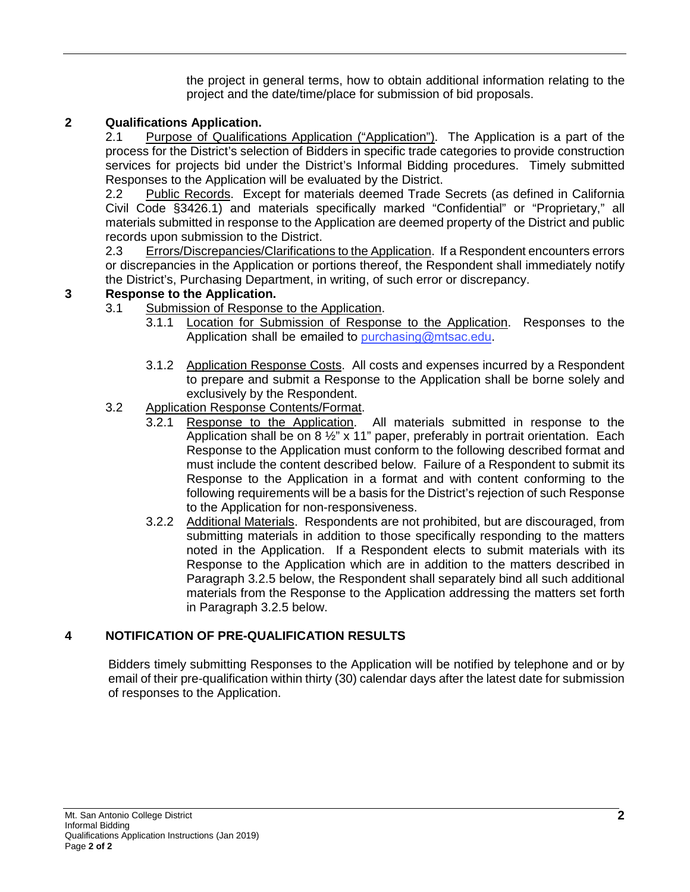the project in general terms, how to obtain additional information relating to the project and the date/time/place for submission of bid proposals.

#### **2 Qualifications Application.**

2.1 Purpose of Qualifications Application ("Application"). The Application is a part of the process for the District's selection of Bidders in specific trade categories to provide construction services for projects bid under the District's Informal Bidding procedures. Timely submitted Responses to the Application will be evaluated by the District.

2.2 Public Records. Except for materials deemed Trade Secrets (as defined in California Civil Code §3426.1) and materials specifically marked "Confidential" or "Proprietary," all materials submitted in response to the Application are deemed property of the District and public records upon submission to the District.

2.3 Errors/Discrepancies/Clarifications to the Application. If a Respondent encounters errors or discrepancies in the Application or portions thereof, the Respondent shall immediately notify the District's, Purchasing Department, in writing, of such error or discrepancy.

#### **3 Response to the Application.**

- 3.1 Submission of Response to the Application.
	- 3.1.1 Location for Submission of Response to the Application. Responses to the Application shall be emailed to [purchasing@mtsac.edu](mailto:purchasing@mtsac.edu).
	- 3.1.2 Application Response Costs. All costs and expenses incurred by a Respondent to prepare and submit a Response to the Application shall be borne solely and exclusively by the Respondent.

## 3.2 Application Response Contents/Format.

- 3.2.1 Response to the Application. All materials submitted in response to the Application shall be on 8 ½" x 11" paper, preferably in portrait orientation. Each Response to the Application must conform to the following described format and must include the content described below. Failure of a Respondent to submit its Response to the Application in a format and with content conforming to the following requirements will be a basis for the District's rejection of such Response to the Application for non-responsiveness.
- 3.2.2 Additional Materials. Respondents are not prohibited, but are discouraged, from submitting materials in addition to those specifically responding to the matters noted in the Application. If a Respondent elects to submit materials with its Response to the Application which are in addition to the matters described in Paragraph 3.2.5 below, the Respondent shall separately bind all such additional materials from the Response to the Application addressing the matters set forth in Paragraph 3.2.5 below.

### **4 NOTIFICATION OF PRE-QUALIFICATION RESULTS**

Bidders timely submitting Responses to the Application will be notified by telephone and or by email of their pre-qualification within thirty (30) calendar days after the latest date for submission of responses to the Application.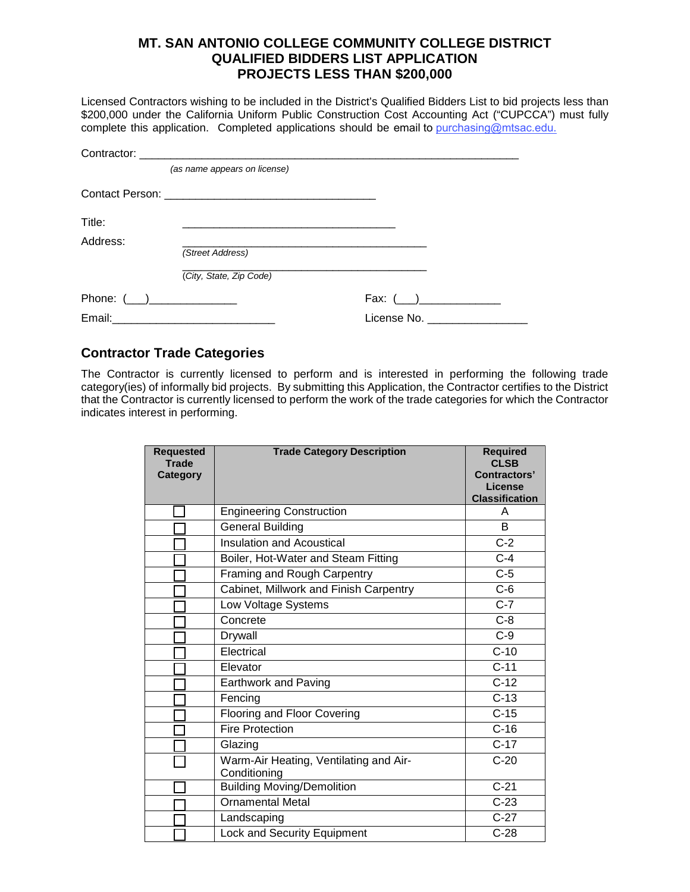## **MT. SAN ANTONIO COLLEGE COMMUNITY COLLEGE DISTRICT QUALIFIED BIDDERS LIST APPLICATION PROJECTS LESS THAN \$200,000**

Licensed Contractors wishing to be included in the District's Qualified Bidders List to bid projects less than \$200,000 under the California Uniform Public Construction Cost Accounting Act ("CUPCCA") must fully complete this application. Completed applications should be email to [purchasing@mtsac.edu](mailto:purchasing@mtsac.edu).

|                 | (as name appears on license) |             |
|-----------------|------------------------------|-------------|
|                 |                              |             |
| Title:          |                              |             |
| Address:        |                              |             |
|                 | (Street Address)             |             |
|                 | (City, State, Zip Code)      |             |
| Phone: $(\_\_)$ |                              | Fax: $(\_)$ |
|                 |                              | License No. |

### **Contractor Trade Categories**

The Contractor is currently licensed to perform and is interested in performing the following trade category(ies) of informally bid projects. By submitting this Application, the Contractor certifies to the District that the Contractor is currently licensed to perform the work of the trade categories for which the Contractor indicates interest in performing.

| <b>Requested</b><br><b>Trade</b><br><b>Category</b> | <b>Trade Category Description</b>                      | <b>Required</b><br><b>CLSB</b><br>Contractors'<br>License<br><b>Classification</b> |
|-----------------------------------------------------|--------------------------------------------------------|------------------------------------------------------------------------------------|
|                                                     | <b>Engineering Construction</b>                        | A                                                                                  |
|                                                     | General Building                                       | B                                                                                  |
|                                                     | Insulation and Acoustical                              | $C-2$                                                                              |
|                                                     | Boiler, Hot-Water and Steam Fitting                    | $C-4$                                                                              |
|                                                     | Framing and Rough Carpentry                            | $C-5$                                                                              |
|                                                     | Cabinet, Millwork and Finish Carpentry                 | $C-6$                                                                              |
|                                                     | Low Voltage Systems                                    | $\overline{C}$ -7                                                                  |
|                                                     | Concrete                                               | $C-8$                                                                              |
|                                                     | Drywall                                                | $C-9$                                                                              |
|                                                     | Electrical                                             | $C-10$                                                                             |
|                                                     | Elevator                                               | $C-11$                                                                             |
|                                                     | Earthwork and Paving                                   | $C-12$                                                                             |
|                                                     | Fencing                                                | $C-13$                                                                             |
|                                                     | <b>Flooring and Floor Covering</b>                     | $C-15$                                                                             |
|                                                     | <b>Fire Protection</b>                                 | $C-16$                                                                             |
|                                                     | Glazing                                                | $C-17$                                                                             |
|                                                     | Warm-Air Heating, Ventilating and Air-<br>Conditioning | $C-20$                                                                             |
|                                                     | <b>Building Moving/Demolition</b>                      | $C-21$                                                                             |
|                                                     | <b>Ornamental Metal</b>                                | $C-23$                                                                             |
|                                                     | Landscaping                                            | $C-27$                                                                             |
|                                                     | Lock and Security Equipment                            | $C-28$                                                                             |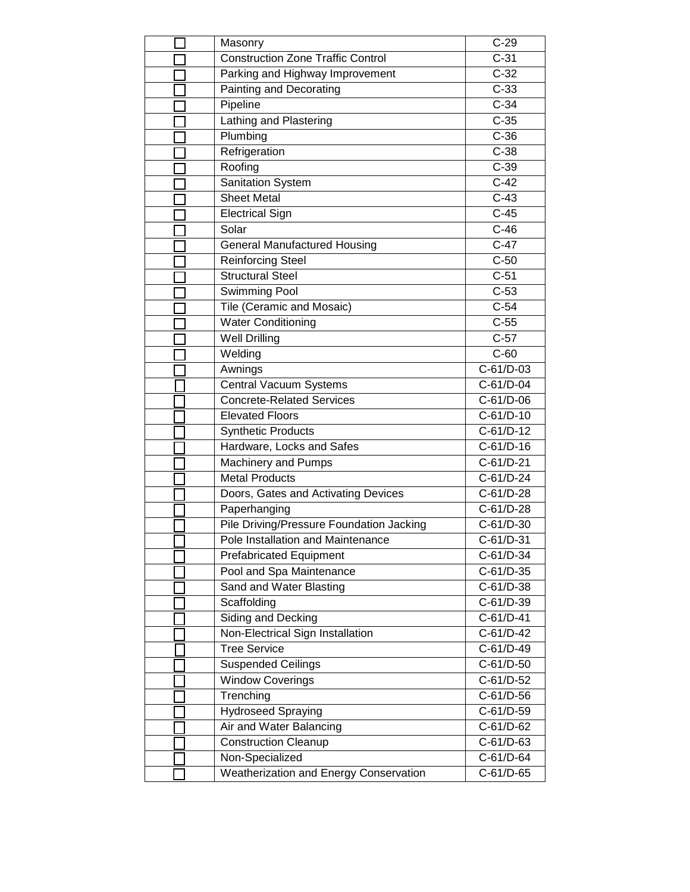| Masonry                                  | $C-29$             |
|------------------------------------------|--------------------|
| <b>Construction Zone Traffic Control</b> | $C-31$             |
| Parking and Highway Improvement          | $C-32$             |
| Painting and Decorating                  | $C-33$             |
| Pipeline                                 | $C-34$             |
| Lathing and Plastering                   | $\overline{C-35}$  |
| Plumbing                                 | $C-36$             |
| Refrigeration                            | $C-38$             |
| Roofing                                  | $C-39$             |
| Sanitation System                        | $C-42$             |
| <b>Sheet Metal</b>                       | $C-43$             |
| <b>Electrical Sign</b>                   | $C-45$             |
| Solar                                    | $C-46$             |
| <b>General Manufactured Housing</b>      | $C-47$             |
| <b>Reinforcing Steel</b>                 | $C-50$             |
| <b>Structural Steel</b>                  | $\overline{C}$ -51 |
| <b>Swimming Pool</b>                     | $\overline{C}$ -53 |
| Tile (Ceramic and Mosaic)                | $C-54$             |
| <b>Water Conditioning</b>                | $C-55$             |
| <b>Well Drilling</b>                     | $C-57$             |
| Welding                                  | $C-60$             |
| Awnings                                  | $C-61/D-03$        |
| Central Vacuum Systems                   | C-61/D-04          |
| <b>Concrete-Related Services</b>         | C-61/D-06          |
| <b>Elevated Floors</b>                   | C-61/D-10          |
| <b>Synthetic Products</b>                | C-61/D-12          |
| Hardware, Locks and Safes                | $C-61/D-16$        |
| Machinery and Pumps                      | C-61/D-21          |
| <b>Metal Products</b>                    | C-61/D-24          |
| Doors, Gates and Activating Devices      | C-61/D-28          |
| Paperhanging                             | C-61/D-28          |
| Pile Driving/Pressure Foundation Jacking | C-61/D-30          |
| Pole Installation and Maintenance        | C-61/D-31          |
| <b>Prefabricated Equipment</b>           | C-61/D-34          |
| Pool and Spa Maintenance                 | $C-61/D-35$        |
| Sand and Water Blasting                  | C-61/D-38          |
| Scaffolding                              | C-61/D-39          |
| <b>Siding and Decking</b>                | C-61/D-41          |
| Non-Electrical Sign Installation         | C-61/D-42          |
| <b>Tree Service</b>                      | C-61/D-49          |
| <b>Suspended Ceilings</b>                | C-61/D-50          |
| <b>Window Coverings</b>                  | C-61/D-52          |
| Trenching                                | C-61/D-56          |
| Hydroseed Spraying                       | C-61/D-59          |
| Air and Water Balancing                  | C-61/D-62          |
| <b>Construction Cleanup</b>              | C-61/D-63          |
| Non-Specialized                          | C-61/D-64          |
| Weatherization and Energy Conservation   | C-61/D-65          |